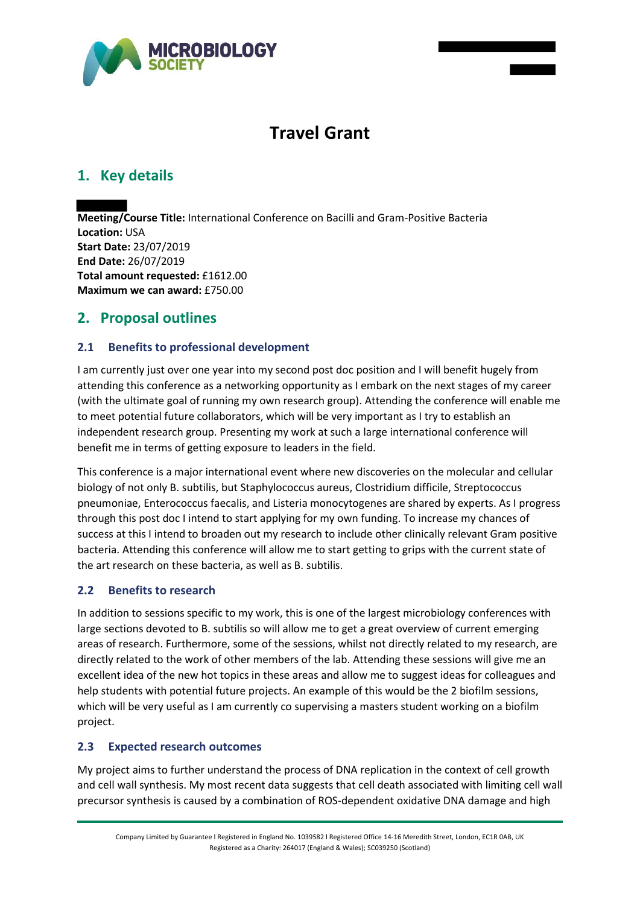

# **Travel Grant**

## **1. Key details**

**Meeting/Course Title:** International Conference on Bacilli and Gram-Positive Bacteria **Location:** USA **Start Date:** 23/07/2019 **End Date:** 26/07/2019 **Total amount requested:** £1612.00 **Maximum we can award:** £750.00

## **2. Proposal outlines**

### **2.1 Benefits to professional development**

I am currently just over one year into my second post doc position and I will benefit hugely from attending this conference as a networking opportunity as I embark on the next stages of my career (with the ultimate goal of running my own research group). Attending the conference will enable me to meet potential future collaborators, which will be very important as I try to establish an independent research group. Presenting my work at such a large international conference will benefit me in terms of getting exposure to leaders in the field.

This conference is a major international event where new discoveries on the molecular and cellular biology of not only B. subtilis, but Staphylococcus aureus, Clostridium difficile, Streptococcus pneumoniae, Enterococcus faecalis, and Listeria monocytogenes are shared by experts. As I progress through this post doc I intend to start applying for my own funding. To increase my chances of success at this I intend to broaden out my research to include other clinically relevant Gram positive bacteria. Attending this conference will allow me to start getting to grips with the current state of the art research on these bacteria, as well as B. subtilis.

### **2.2 Benefits to research**

In addition to sessions specific to my work, this is one of the largest microbiology conferences with large sections devoted to B. subtilis so will allow me to get a great overview of current emerging areas of research. Furthermore, some of the sessions, whilst not directly related to my research, are directly related to the work of other members of the lab. Attending these sessions will give me an excellent idea of the new hot topics in these areas and allow me to suggest ideas for colleagues and help students with potential future projects. An example of this would be the 2 biofilm sessions, which will be very useful as I am currently co supervising a masters student working on a biofilm project.

### **2.3 Expected research outcomes**

My project aims to further understand the process of DNA replication in the context of cell growth and cell wall synthesis. My most recent data suggests that cell death associated with limiting cell wall precursor synthesis is caused by a combination of ROS-dependent oxidative DNA damage and high